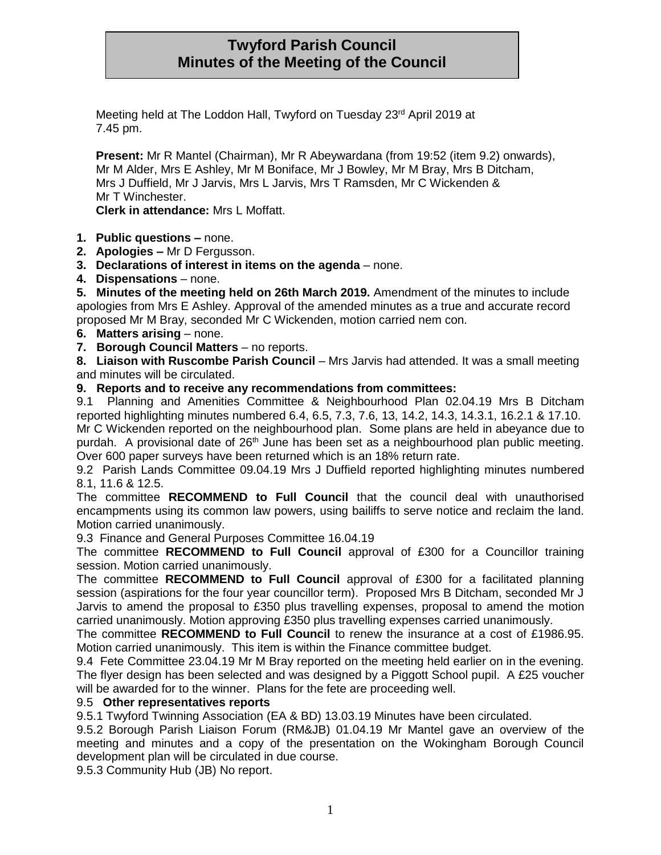# **Twyford Parish Council Minutes of the Meeting of the Council**

Meeting held at The Loddon Hall, Twyford on Tuesday 23<sup>rd</sup> April 2019 at 7.45 pm.

**Present:** Mr R Mantel (Chairman), Mr R Abeywardana (from 19:52 (item 9.2) onwards), Mr M Alder, Mrs E Ashley, Mr M Boniface, Mr J Bowley, Mr M Bray, Mrs B Ditcham, Mrs J Duffield, Mr J Jarvis, Mrs L Jarvis, Mrs T Ramsden, Mr C Wickenden & Mr T Winchester.

**Clerk in attendance:** Mrs L Moffatt.

- **1. Public questions –** none.
- **2. Apologies –** Mr D Fergusson.
- **3. Declarations of interest in items on the agenda** none.
- **4. Dispensations** none.

**5. Minutes of the meeting held on 26th March 2019.** Amendment of the minutes to include apologies from Mrs E Ashley. Approval of the amended minutes as a true and accurate record proposed Mr M Bray, seconded Mr C Wickenden, motion carried nem con.

- **6. Matters arising** none.
- **7. Borough Council Matters** no reports.

**8. Liaison with Ruscombe Parish Council** – Mrs Jarvis had attended. It was a small meeting and minutes will be circulated.

### **9. Reports and to receive any recommendations from committees:**

9.1 Planning and Amenities Committee & Neighbourhood Plan 02.04.19 Mrs B Ditcham reported highlighting minutes numbered 6.4, 6.5, 7.3, 7.6, 13, 14.2, 14.3, 14.3.1, 16.2.1 & 17.10. Mr C Wickenden reported on the neighbourhood plan. Some plans are held in abeyance due to purdah. A provisional date of 26<sup>th</sup> June has been set as a neighbourhood plan public meeting. Over 600 paper surveys have been returned which is an 18% return rate.

9.2 Parish Lands Committee 09.04.19 Mrs J Duffield reported highlighting minutes numbered 8.1, 11.6 & 12.5.

The committee **RECOMMEND to Full Council** that the council deal with unauthorised encampments using its common law powers, using bailiffs to serve notice and reclaim the land. Motion carried unanimously.

9.3 Finance and General Purposes Committee 16.04.19

The committee **RECOMMEND to Full Council** approval of £300 for a Councillor training session. Motion carried unanimously.

The committee **RECOMMEND to Full Council** approval of £300 for a facilitated planning session (aspirations for the four year councillor term). Proposed Mrs B Ditcham, seconded Mr J Jarvis to amend the proposal to £350 plus travelling expenses, proposal to amend the motion carried unanimously. Motion approving £350 plus travelling expenses carried unanimously.

The committee **RECOMMEND to Full Council** to renew the insurance at a cost of £1986.95. Motion carried unanimously. This item is within the Finance committee budget.

9.4 Fete Committee 23.04.19 Mr M Bray reported on the meeting held earlier on in the evening. The flyer design has been selected and was designed by a Piggott School pupil. A £25 voucher will be awarded for to the winner. Plans for the fete are proceeding well.

### 9.5 **Other representatives reports**

9.5.1 Twyford Twinning Association (EA & BD) 13.03.19 Minutes have been circulated.

9.5.2 Borough Parish Liaison Forum (RM&JB) 01.04.19 Mr Mantel gave an overview of the meeting and minutes and a copy of the presentation on the Wokingham Borough Council development plan will be circulated in due course.

9.5.3 Community Hub (JB) No report.